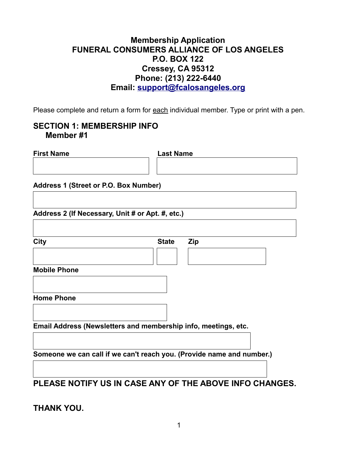### **Membership Application FUNERAL CONSUMERS ALLIANCE OF LOS ANGELES P.O. BOX 122 Cressey, CA 95312 Phone: (209) 521-7690 (213) 222-6440 Phone: (209) 756-2421Email: support@fcalosangeles.org**

Please complete and return a form for each individual member. Type or print with a pen.

### **SECTION 1: MEMBERSHIP INFO Member #1**

| <b>First Name</b>                                              | <b>Last Name</b>                                                      |
|----------------------------------------------------------------|-----------------------------------------------------------------------|
|                                                                |                                                                       |
| <b>Address 1 (Street or P.O. Box Number)</b>                   |                                                                       |
| Address 2 (If Necessary, Unit # or Apt. #, etc.)               |                                                                       |
| <b>City</b>                                                    | <b>State</b><br><b>Zip</b>                                            |
|                                                                |                                                                       |
| <b>Mobile Phone</b>                                            |                                                                       |
| <b>Home Phone</b>                                              |                                                                       |
| Email Address (Newsletters and membership info, meetings, etc. |                                                                       |
|                                                                | Someone we can call if we can't reach you. (Provide name and number.) |
|                                                                | PLEASE NOTIFY US IN CASE ANY OF THE ABOVE INFO CHANGES.               |

**THANK YOU.**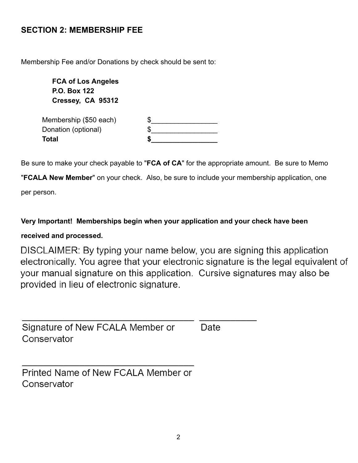## **SECTION 2: MEMBERSHIP FEE**

Membership Fee and/or Donations by check should be sent to:

 **FCA of Los Angeles P.O. Box 122 Cressey, CA 95312**  Membership (\$50 each) Donation (optional) **Total \$\_\_\_\_\_\_\_\_\_\_\_\_\_\_\_\_\_** 

Be sure to make your check payable to "**FCA of CA**" for the appropriate amount. Be sure to Memo

" **FCALA New Member** " on your check. Also, be sure to include your membership application, one

per person.

**Very Important! Memberships begin when your application and your check have been** 

#### **received and processed.**

DISCLAIMER: By typing your name below, you are signing this application electronically. You agree that your electronic signature is the legal equivalent of your manual signature on this application. Cursive signatures may also be provided in lieu of electronic signature.

Signature of New FCALA Member or Conservator

Date

Printed Name of New FCALA Member or Conservator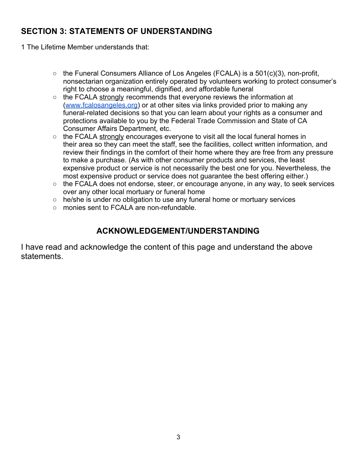# **SECTION 3: STATEMENTS OF UNDERSTANDING**

1 The Lifetime Member understands that:

- $\circ$  the Funeral Consumers Alliance of Los Angeles (FCALA) is a 501(c)(3), non-profit, nonsectarian organization entirely operated by volunteers working to protect consumer's right to choose a meaningful, dignified, and affordable funeral
- the FCALA strongly recommends that everyone reviews the information at ([www.fcalosangeles.org\)](http://www.fcalosangeles.org/) or at other sites via links provided prior to making any funeral-related decisions so that you can learn about your rights as a consumer and protections available to you by the Federal Trade Commission and State of CA Consumer Affairs Department, etc.
- the FCALA strongly encourages everyone to visit all the local funeral homes in their area so they can meet the staff, see the facilities, collect written information, and review their findings in the comfort of their home where they are free from any pressure to make a purchase. (As with other consumer products and services, the least expensive product or service is not necessarily the best one for you. Nevertheless, the most expensive product or service does not guarantee the best offering either.)
- the FCALA does not endorse, steer, or encourage anyone, in any way, to seek services over any other local mortuary or funeral home
- he/she is under no obligation to use any funeral home or mortuary services
- monies sent to FCALA are non-refundable.

# **ACKNOWLEDGEMENT/UNDERSTANDING**

I have read and acknowledge the content of this page and understand the above statements.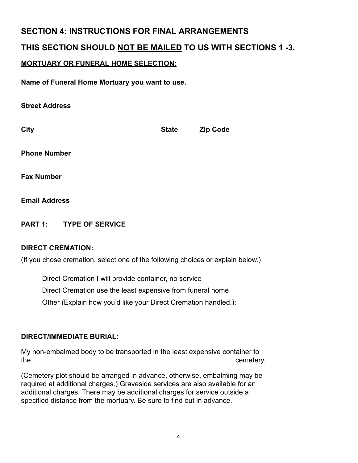## **SECTION 4: INSTRUCTIONS FOR FINAL ARRANGEMENTS**

## **THIS SECTION SHOULD NOT BE MAILED TO US WITH SECTIONS 1 -3.**

### **MORTUARY OR FUNERAL HOME SELECTION:**

**Name of Funeral Home Mortuary you want to use.** 

| <b>OU CEL AUUI COO</b> |              |                 |
|------------------------|--------------|-----------------|
| <b>City</b>            | <b>State</b> | <b>Zip Code</b> |
| <b>Phone Number</b>    |              |                 |
| <b>Fax Number</b>      |              |                 |
| <b>Email Address</b>   |              |                 |

**PART 1: TYPE OF SERVICE** 

#### **DIRECT CREMATION:**

Stroot **Address** 

(If you chose cremation, select one of the following choices or explain below.)

Direct Cremation I will provide container, no service Direct Cremation use the least expensive from funeral home

Other (Explain how you'd like your Direct Cremation handled.):

#### **DIRECT/IMMEDIATE BURIAL:**

My non-embalmed body to be transported in the least expensive container to the cemetery.

(Cemetery plot should be arranged in advance, otherwise, embalming may be required at additional charges.) Graveside services are also available for an additional charges. There may be additional charges for service outside a specified distance from the mortuary. Be sure to find out in advance.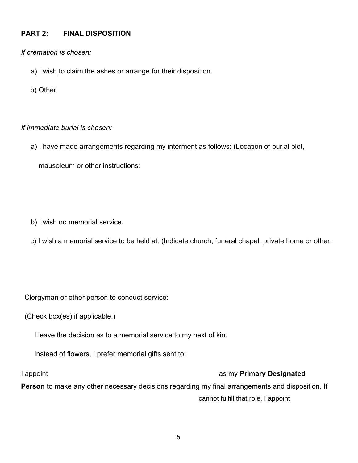#### **PART 2: FINAL DISPOSITION**

*If cremation is chosen:*

- a) I wish to claim the ashes or arrange for their disposition.
- b) Other

#### *If immediate burial is chosen:*

a) I have made arrangements regarding my interment as follows: (Location of burial plot,

mausoleum or other instructions:

b) I wish no memorial service.

c) I wish a memorial service to be held at: (Indicate church, funeral chapel, private home or other:

Clergyman or other person to conduct service:

(Check box(es) if applicable.)

I leave the decision as to a memorial service to my next of kin.

Instead of flowers, I prefer memorial gifts sent to:

#### I appoint as my **Primary Designated**

**Person** to make any other necessary decisions regarding my final arrangements and disposition. If cannot fulfill that role, I appoint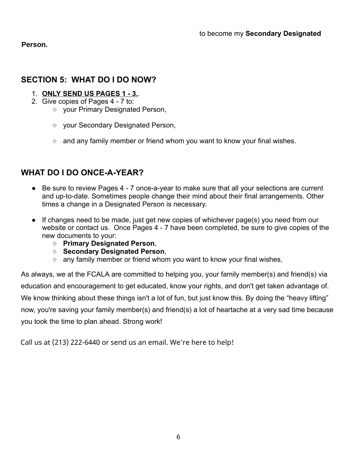**Person.**

### **SECTION 5: WHAT DO I DO NOW?**

- 1. **ONLY SEND US PAGES 1 3.** .
- 2. Give copies of Pages 4 7 to:
	- your Primary Designated Person,
	- your Secondary Designated Person,
	- and any family member or friend whom you want to know your final wishes.

## **WHAT DO I DO ONCE-A-YEAR?**

- Be sure to review Pages 4 7 once-a-year to make sure that all your selections are current and up-to-date. Sometimes people change their mind about their final arrangements. Other times a change in a Designated Person is necessary.
- If changes need to be made, just get new copies of whichever page(s) you need from our website or contact us. Once Pages 4 - 7 have been completed, be sure to give copies of the new documents to your:
	- **Primary Designated Person** ,
	- **Secondary Designated Person** ,
	- $\circ$  any family member or friend whom you want to know your final wishes,

As always, we at the FCALA are committed to helping you, your family member(s) and friend(s) via education and encouragement to get educated, know your rights, and don't get taken advantage of. We know thinking about these things isn't a lot of fun, but just know this. By doing the "heavy lifting" now, you're saving your family member(s) and friend(s) a lot of heartache at a very sad time because you took the time to plan ahead. Strong work!

Call us at (213) 222-6440 or send us an email. We're here to help!